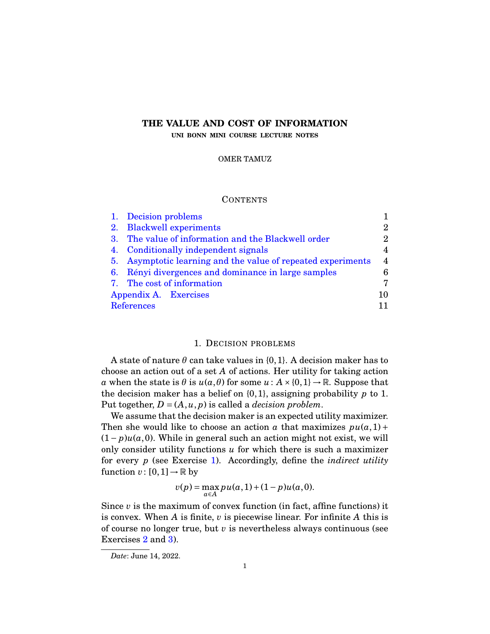# **THE VALUE AND COST OF INFORMATION**

**UNI BONN MINI COURSE LECTURE NOTES**

### OMER TAMUZ

## **CONTENTS**

| 1. Decision problems                                         |                             |
|--------------------------------------------------------------|-----------------------------|
| 2. Blackwell experiments                                     | $\mathcal{D}_{\mathcal{L}}$ |
| 3. The value of information and the Blackwell order          | 2                           |
| 4. Conditionally independent signals                         | 4                           |
| 5. Asymptotic learning and the value of repeated experiments | $\overline{4}$              |
| 6. Rényi divergences and dominance in large samples          | 6                           |
| 7. The cost of information                                   | 7                           |
| Appendix A. Exercises                                        |                             |
| <b>References</b>                                            |                             |
|                                                              |                             |

### 1. DECISION PROBLEMS

<span id="page-0-0"></span>A state of nature  $\theta$  can take values in  $\{0,1\}$ . A decision maker has to choose an action out of a set *A* of actions. Her utility for taking action *a* when the state is  $\theta$  is  $u(a, \theta)$  for some  $u : A \times \{0, 1\} \rightarrow \mathbb{R}$ . Suppose that the decision maker has a belief on {0,1}, assigning probability *p* to 1. Put together,  $D = (A, u, p)$  is called a *decision problem*.

We assume that the decision maker is an expected utility maximizer. Then she would like to choose an action *a* that maximizes  $pu(a,1) +$  $(1-p)u(a,0)$ . While in general such an action might not exist, we will only consider utility functions *u* for which there is such a maximizer for every *p* (see Exercise [1\)](#page-9-1). Accordingly, define the *indirect utility* function  $v: [0,1] \rightarrow \mathbb{R}$  by

$$
v(p) = \max_{a \in A} p u(a, 1) + (1 - p) u(a, 0).
$$

Since  $v$  is the maximum of convex function (in fact, affine functions) it is convex. When *A* is finite, *v* is piecewise linear. For infinite *A* this is of course no longer true, but *v* is nevertheless always continuous (see Exercises [2](#page-9-2) and [3\)](#page-9-3).

*Date*: June 14, 2022.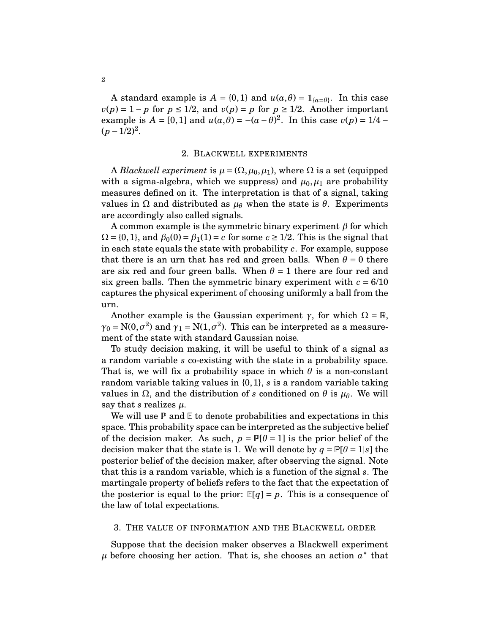A standard example is  $A = \{0, 1\}$  and  $u(a, \theta) = \mathbb{1}_{\{a=\theta\}}$ . In this case  $v(p) = 1 - p$  for  $p \le 1/2$ , and  $v(p) = p$  for  $p \ge 1/2$ . Another important example is  $A = [0, 1]$  and  $u(a, \theta) = -(a - \theta)^2$ . In this case  $v(p) = 1/4 (p-1/2)^2$ .

### 2. BLACKWELL EXPERIMENTS

<span id="page-1-0"></span>A *Blackwell experiment* is  $\mu = (\Omega, \mu_0, \mu_1)$ , where  $\Omega$  is a set (equipped with a sigma-algebra, which we suppress) and  $\mu_0, \mu_1$  are probability measures defined on it. The interpretation is that of a signal, taking values in Ω and distributed as *µ<sup>θ</sup>* when the state is *θ*. Experiments are accordingly also called signals.

A common example is the symmetric binary experiment *β* for which  $\Omega = \{0, 1\}$ , and  $\beta_0(0) = \beta_1(1) = c$  for some  $c \geq 1/2$ . This is the signal that in each state equals the state with probability *c*. For example, suppose that there is an urn that has red and green balls. When  $\theta = 0$  there are six red and four green balls. When  $\theta = 1$  there are four red and six green balls. Then the symmetric binary experiment with  $c = 6/10$ captures the physical experiment of choosing uniformly a ball from the urn.

Another example is the Gaussian experiment  $\gamma$ , for which  $\Omega = \mathbb{R}$ ,  $\gamma_0 = N(0, \sigma^2)$  and  $\gamma_1 = N(1, \sigma^2)$ . This can be interpreted as a measurement of the state with standard Gaussian noise.

To study decision making, it will be useful to think of a signal as a random variable *s* co-existing with the state in a probability space. That is, we will fix a probability space in which  $\theta$  is a non-constant random variable taking values in {0,1}, *s* is a random variable taking values in Ω, and the distribution of *s* conditioned on *θ* is *µθ*. We will say that *s* realizes  $\mu$ .

We will use  $\mathbb P$  and  $\mathbb E$  to denote probabilities and expectations in this space. This probability space can be interpreted as the subjective belief of the decision maker. As such,  $p = \mathbb{P}[\theta = 1]$  is the prior belief of the decision maker that the state is 1. We will denote by  $q = P[\theta = 1|s]$  the posterior belief of the decision maker, after observing the signal. Note that this is a random variable, which is a function of the signal *s*. The martingale property of beliefs refers to the fact that the expectation of the posterior is equal to the prior:  $\mathbb{E}[q] = p$ . This is a consequence of the law of total expectations.

### <span id="page-1-1"></span>3. THE VALUE OF INFORMATION AND THE BLACKWELL ORDER

Suppose that the decision maker observes a Blackwell experiment  $\mu$  before choosing her action. That is, she chooses an action  $a^*$  that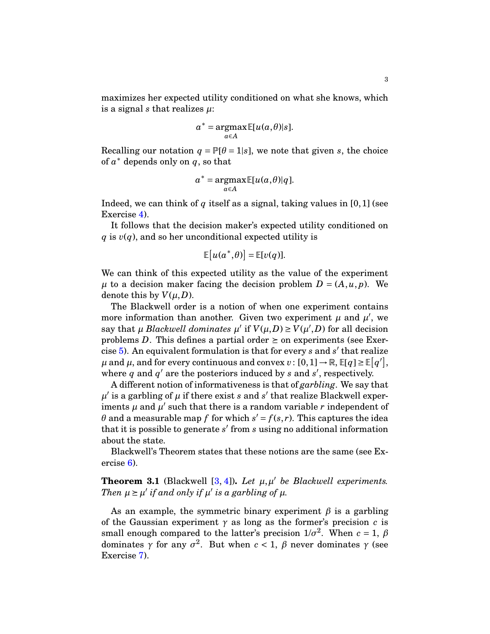maximizes her expected utility conditioned on what she knows, which is a signal *s* that realizes *µ*:

$$
a^* = \operatorname*{argmax}_{a \in A} \mathbb{E}[u(a, \theta)|s].
$$

Recalling our notation  $q = P[\theta = 1|s]$ , we note that given *s*, the choice of  $a^*$  depends only on  $q$ , so that

$$
a^* = \underset{a \in A}{\operatorname{argmax}} \mathbb{E}[u(a, \theta)|q].
$$

Indeed, we can think of  $q$  itself as a signal, taking values in  $[0,1]$  (see Exercise [4\)](#page-9-4).

It follows that the decision maker's expected utility conditioned on  $q$  is  $v(q)$ , and so her unconditional expected utility is

$$
\mathbb{E}[u(a^*,\theta)] = \mathbb{E}[v(q)].
$$

We can think of this expected utility as the value of the experiment  $\mu$  to a decision maker facing the decision problem  $D = (A, u, p)$ . We denote this by  $V(\mu, D)$ .

The Blackwell order is a notion of when one experiment contains more information than another. Given two experiment  $\mu$  and  $\mu'$ , we say that  $\mu$  *Blackwell dominates*  $\mu'$  if  $V(\mu, D) \ge V(\mu', D)$  for all decision problems *D*. This defines a partial order  $\succeq$  on experiments (see Exercise [5\)](#page-9-5). An equivalent formulation is that for every *s* and *s* ′ that realize  $\mu$  and  $\mu$ , and for every continuous and convex  $v: [0,1] \to \mathbb{R}, \mathbb{E}[q] \ge \mathbb{E}[q'],$ where  $q$  and  $q'$  are the posteriors induced by  $s$  and  $s'$ , respectively.

A different notion of informativeness is that of *garbling*. We say that  $\mu'$  is a garbling of  $\mu$  if there exist *s* and *s'* that realize Blackwell experiments  $\mu$  and  $\mu'$  such that there is a random variable  $r$  independent of *θ* and a measurable map *f* for which  $s' = f(s,r)$ . This captures the idea that it is possible to generate *s* ′ from *s* using no additional information about the state.

Blackwell's Theorem states that these notions are the same (see Exercise [6\)](#page-9-6).

# **Theorem 3.1** (Blackwell  $[3, 4]$  $[3, 4]$ ). Let  $\mu, \mu'$  be Blackwell experiments. *Then*  $\mu \ge \mu'$  *if and only if*  $\mu'$  *is a garbling of*  $\mu$ *.*

As an example, the symmetric binary experiment *β* is a garbling of the Gaussian experiment  $\gamma$  as long as the former's precision *c* is small enough compared to the latter's precision  $1/\sigma^2$ . When  $c = 1$ ,  $\beta$ dominates  $\gamma$  for any  $\sigma^2$ . But when  $c < 1$ ,  $\beta$  never dominates  $\gamma$  (see Exercise [7\)](#page-9-7).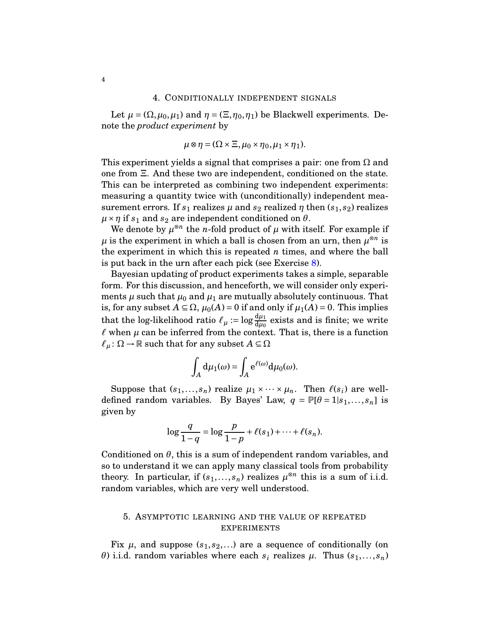<span id="page-3-0"></span>Let  $\mu = (\Omega, \mu_0, \mu_1)$  and  $\eta = (\Xi, \eta_0, \eta_1)$  be Blackwell experiments. Denote the *product experiment* by

$$
\mu \otimes \eta = (\Omega \times \Xi, \mu_0 \times \eta_0, \mu_1 \times \eta_1).
$$

This experiment yields a signal that comprises a pair: one from  $\Omega$  and one from Ξ. And these two are independent, conditioned on the state. This can be interpreted as combining two independent experiments: measuring a quantity twice with (unconditionally) independent measurement errors. If  $s_1$  realizes  $\mu$  and  $s_2$  realized  $\eta$  then  $(s_1, s_2)$  realizes  $\mu \times \eta$  if  $s_1$  and  $s_2$  are independent conditioned on  $\theta$ .

We denote by  $\mu^{\otimes n}$  the *n*-fold product of  $\mu$  with itself. For example if  $\mu$  is the experiment in which a ball is chosen from an urn, then  $\mu^{\otimes n}$  is the experiment in which this is repeated *n* times, and where the ball is put back in the urn after each pick (see Exercise [8\)](#page-9-8).

Bayesian updating of product experiments takes a simple, separable form. For this discussion, and henceforth, we will consider only experiments  $\mu$  such that  $\mu_0$  and  $\mu_1$  are mutually absolutely continuous. That is, for any subset  $A \subseteq \Omega$ ,  $\mu_0(A) = 0$  if and only if  $\mu_1(A) = 0$ . This implies that the log-likelihood ratio  $\ell_{\mu} := \log \frac{d\mu_1}{d\mu_0}$  exists and is finite; we write  $\ell$  when  $\mu$  can be inferred from the context. That is, there is a function  $\ell_{\mu}$ :  $\Omega \rightarrow \mathbb{R}$  such that for any subset  $A \subseteq \Omega$ 

$$
\int_A d\mu_1(\omega) = \int_A e^{\ell(\omega)} d\mu_0(\omega).
$$

Suppose that  $(s_1,...,s_n)$  realize  $\mu_1 \times \cdots \times \mu_n$ . Then  $\ell(s_i)$  are welldefined random variables. By Bayes' Law,  $q = \mathbb{P}[\theta = 1|s_1,...,s_n]$  is given by

$$
\log \frac{q}{1-q} = \log \frac{p}{1-p} + \ell(s_1) + \dots + \ell(s_n).
$$

Conditioned on *θ*, this is a sum of independent random variables, and so to understand it we can apply many classical tools from probability theory. In particular, if  $(s_1,...,s_n)$  realizes  $\mu^{\otimes n}$  this is a sum of i.i.d. random variables, which are very well understood.

# <span id="page-3-1"></span>5. ASYMPTOTIC LEARNING AND THE VALUE OF REPEATED EXPERIMENTS

Fix  $\mu$ , and suppose  $(s_1, s_2, \ldots)$  are a sequence of conditionally (on *θ*) i.i.d. random variables where each  $s_i$  realizes  $\mu$ . Thus  $(s_1, \ldots, s_n)$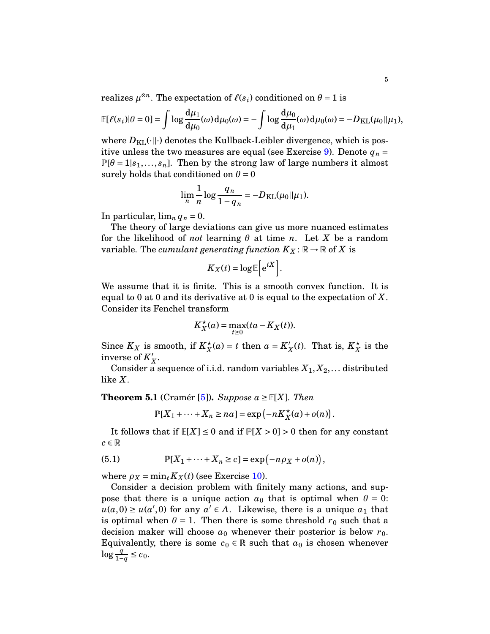realizes  $\mu^{\otimes n}$ . The expectation of  $\ell(s_i)$  conditioned on  $\theta = 1$  is

$$
\mathbb{E}[\ell(s_i)|\theta=0]=\int \log \frac{d\mu_1}{d\mu_0}(\omega) d\mu_0(\omega)=-\int \log \frac{d\mu_0}{d\mu_1}(\omega) d\mu_0(\omega)=-D_{\text{KL}}(\mu_0||\mu_1),
$$

where  $D_{\text{KL}}(\cdot||\cdot)$  denotes the Kullback-Leibler divergence, which is pos-itive unless the two measures are equal (see Exercise [9\)](#page-9-9). Denote  $q_n =$  $\mathbb{P}[\theta = 1 | s_1,..., s_n]$ . Then by the strong law of large numbers it almost surely holds that conditioned on  $\theta = 0$ 

$$
\lim_{n} \frac{1}{n} \log \frac{q_n}{1 - q_n} = -D_{\text{KL}}(\mu_0 || \mu_1).
$$

In particular,  $\lim_{n} q_n = 0$ .

The theory of large deviations can give us more nuanced estimates for the likelihood of *not* learning *θ* at time *n*. Let *X* be a random variable. The *cumulant generating function*  $K_X : \mathbb{R} \to \mathbb{R}$  of X is

$$
K_X(t) = \log \mathbb{E}\Big[e^{tX}\Big].
$$

We assume that it is finite. This is a smooth convex function. It is equal to 0 at 0 and its derivative at 0 is equal to the expectation of *X*. Consider its Fenchel transform

$$
K_X^{\star}(a) = \max_{t \ge 0} (ta - K_X(t)).
$$

Since  $K_X$  is smooth, if  $K_X^*$  $\chi^{\star}(a) = t$  then  $a = K'_2$  $\chi_X'(t)$ . That is,  $K_X^*$  $\frac{\star}{X}$  is the inverse of *K* ′ *X* .

Consider a sequence of i.i.d. random variables  $X_1, X_2, \ldots$  distributed like *X*.

**Theorem 5.1** (Cramér [\[5\]](#page-10-3)). *Suppose*  $a \geq \mathbb{E}[X]$ *. Then* 

$$
\mathbb{P}[X_1 + \cdots + X_n \ge na] = \exp(-nK_X^{\star}(a) + o(n)).
$$

It follows that if  $E[X] \leq 0$  and if  $P[X > 0] > 0$  then for any constant  $c \in \mathbb{R}$ 

<span id="page-4-0"></span>(5.1) 
$$
\mathbb{P}[X_1 + \dots + X_n \ge c] = \exp(-n\rho_X + o(n)),
$$

where  $\rho_X = \min_t K_X(t)$  (see Exercise [10\)](#page-9-10).

Consider a decision problem with finitely many actions, and suppose that there is a unique action  $a_0$  that is optimal when  $\theta = 0$ :  $u(a,0) \ge u(a',0)$  for any  $a' \in A$ . Likewise, there is a unique  $a_1$  that is optimal when  $\theta = 1$ . Then there is some threshold  $r_0$  such that a decision maker will choose  $a_0$  whenever their posterior is below  $r_0$ . Equivalently, there is some  $c_0 \in \mathbb{R}$  such that  $a_0$  is chosen whenever log  $\frac{q}{1-q}$  ≤  $c_0$ .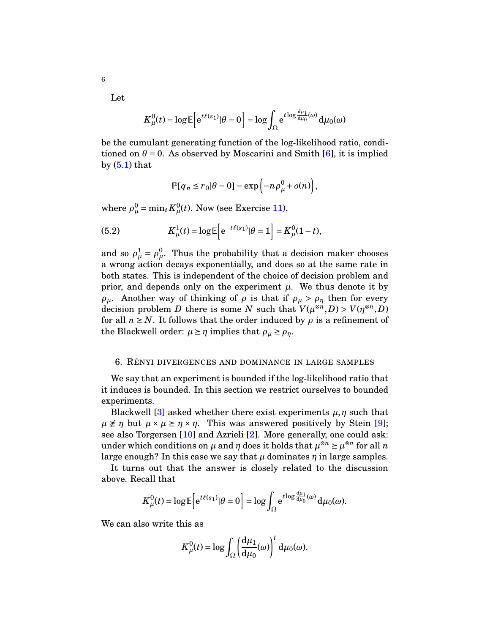Let

6

$$
K^0_\mu(t)=\log \mathbb{E}\Big[ \mathrm{e}^{t\ell(s_1)} |\theta=0\Big]=\log \int_\Omega \mathrm{e}^{t\log \frac{d\mu_1}{d\mu_0}(\omega)} \, \mathrm{d}\mu_0(\omega)
$$

be the cumulant generating function of the log-likelihood ratio, conditioned on  $\theta = 0$ . As observed by Moscarini and Smith [\[6\]](#page-10-4), it is implied by  $(5.1)$  that

$$
\mathbb{P}[q_n \le r_0 | \theta = 0] = \exp(-n\rho^0_\mu + o(n)),
$$

where  $\rho^0_\mu = \min_t K^0_\mu(t)$ . Now (see Exercise [11\)](#page-9-11),

<span id="page-5-1"></span>(5.2) 
$$
K^1_\mu(t) = \log \mathbb{E}\Big[e^{-t\ell(s_1)}|\theta = 1\Big] = K^0_\mu(1-t),
$$

and so  $\rho^1_\mu = \rho^0_\mu$ . Thus the probability that a decision maker chooses a wrong action decays exponentially, and does so at the same rate in both states. This is independent of the choice of decision problem and prior, and depends only on the experiment  $\mu$ . We thus denote it by *ρ*<sub>*μ*</sub>. Another way of thinking of *ρ* is that if  $ρ$ <sup>*μ*</sup> >  $ρ$ <sup>*η*</sup> then for every decision problem *D* there is some *N* such that  $V(\mu^{\otimes n}, D) > V(\eta^{\otimes n}, D)$ for all  $n \geq N$ . It follows that the order induced by  $\rho$  is a refinement of the Blackwell order:  $\mu \ge \eta$  implies that  $\rho_{\mu} \ge \rho_{\eta}$ .

### <span id="page-5-0"></span>6. RÉNYI DIVERGENCES AND DOMINANCE IN LARGE SAMPLES

We say that an experiment is bounded if the log-likelihood ratio that it induces is bounded. In this section we restrict ourselves to bounded experiments.

Blackwell [\[3\]](#page-10-1) asked whether there exist experiments  $\mu$ ,  $\eta$  such that  $\mu \not\geq \eta$  but  $\mu \times \mu \geq \eta \times \eta$ . This was answered positively by Stein [\[9\]](#page-10-5); see also Torgersen [\[10\]](#page-10-6) and Azrieli [\[2\]](#page-10-7). More generally, one could ask: under which conditions on  $\mu$  and  $\eta$  does it holds that  $\mu^{\otimes n} \geq \mu^{\otimes n}$  for all  $n$ large enough? In this case we say that  $\mu$  dominates  $\eta$  in large samples.

It turns out that the answer is closely related to the discussion above. Recall that

$$
K^0_\mu(t) = \log \mathbb{E}\Big[e^{t\ell(s_1)}|\theta=0\Big] = \log \int_{\Omega} e^{t\log \frac{d\mu_1}{d\mu_0}(\omega)} d\mu_0(\omega).
$$

We can also write this as

$$
K^0_\mu(t) = \log \int_\Omega \left(\frac{\mathrm{d}\mu_1}{\mathrm{d}\mu_0}(\omega)\right)^t \mathrm{d}\mu_0(\omega).
$$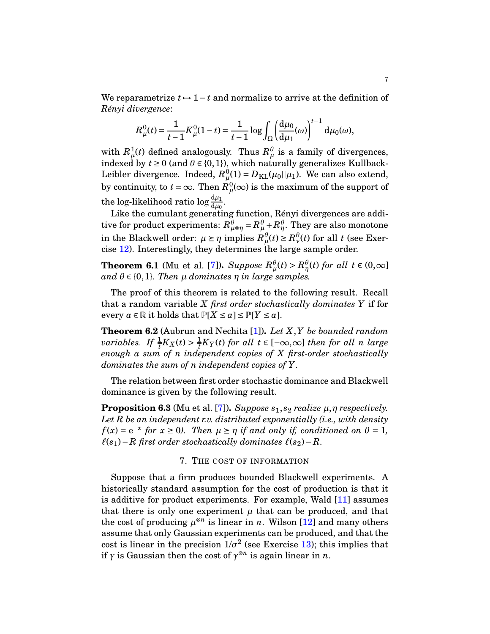We reparametrize  $t \mapsto 1-t$  and normalize to arrive at the definition of *Rényi divergence*:

$$
R_{\mu}^{0}(t) = \frac{1}{t-1} K_{\mu}^{0}(1-t) = \frac{1}{t-1} \log \int_{\Omega} \left(\frac{d\mu_{0}}{d\mu_{1}}(\omega)\right)^{t-1} d\mu_{0}(\omega),
$$

with  $R^1_\mu(t)$  defined analogously. Thus  $R^{\theta}_\mu$  is a family of divergences, indexed by  $t \ge 0$  (and  $\theta \in \{0,1\}$ ), which naturally generalizes Kullback-Leibler divergence. Indeed,  $R^0_\mu(1) = D_{\text{KL}}(\mu_0||\mu_1)$ . We can also extend, by continuity, to  $t = \infty$ . Then  $R^0_{\ \mu}(\infty)$  is the maximum of the support of the log-likelihood ratio log  $\frac{d\mu_1}{d\mu_0}$ .

Like the cumulant generating function, Rényi divergences are additive for product experiments:  $R^{\theta}_{\mu\otimes\eta}$  =  $R^{\theta}_{\mu}$  +  $R^{\theta}_{\eta}.$  They are also monotone in the Blackwell order:  $\mu \ge \eta$  implies  $R^{\theta}_{\mu}(t) \ge R^{\theta}_{\nu}(t)$  for all *t* (see Exercise [12\)](#page-9-12). Interestingly, they determines the large sample order.

**Theorem 6.1** (Mu et al. [\[7\]](#page-10-8)). *Suppose*  $R^{\theta}_{\mu}(t) > R^{\theta}_{\eta}(t)$  *for all*  $t \in (0,\infty]$  $\alpha$ *nd*  $\theta \in \{0, 1\}$ *. Then*  $\mu$  *dominates*  $\eta$  *in large samples.* 

The proof of this theorem is related to the following result. Recall that a random variable *X first order stochastically dominates Y* if for every  $a \in \mathbb{R}$  it holds that  $\mathbb{P}[X \le a] \le \mathbb{P}[Y \le a]$ .

**Theorem 6.2** (Aubrun and Nechita [\[1\]](#page-10-9))**.** *Let X*,*Y be bounded random variables.* If  $\frac{1}{t}K_X(t) > \frac{1}{t}$  $\frac{1}{t}K_Y(t)$  *for all*  $t \in [-\infty,\infty]$  *then for all n large enough a sum of n independent copies of X first-order stochastically dominates the sum of n independent copies of Y.*

The relation between first order stochastic dominance and Blackwell dominance is given by the following result.

**Proposition 6.3** (Mu et al. [\[7\]](#page-10-8)). *Suppose*  $s_1$ ,  $s_2$  *realize*  $\mu$ ,  $\eta$  *respectively. Let R be an independent r.v. distributed exponentially (i.e., with density*  $f(x) = e^{-x}$  *for*  $x \ge 0$ *). Then*  $\mu \ge \eta$  *if and only if, conditioned on*  $\theta = 1$ *,*  $\ell(s_1)$ −R first order stochastically dominates  $\ell(s_2)$ −R.

#### 7. THE COST OF INFORMATION

<span id="page-6-0"></span>Suppose that a firm produces bounded Blackwell experiments. A historically standard assumption for the cost of production is that it is additive for product experiments. For example, Wald [\[11\]](#page-10-10) assumes that there is only one experiment  $\mu$  that can be produced, and that the cost of producing  $\mu^{\otimes n}$  is linear in *n*. Wilson [\[12\]](#page-10-11) and many others assume that only Gaussian experiments can be produced, and that the cost is linear in the precision  $1/\sigma^2$  (see Exercise [13\)](#page-9-13); this implies that if  $\gamma$  is Gaussian then the cost of  $\gamma^{\otimes n}$  is again linear in *n*.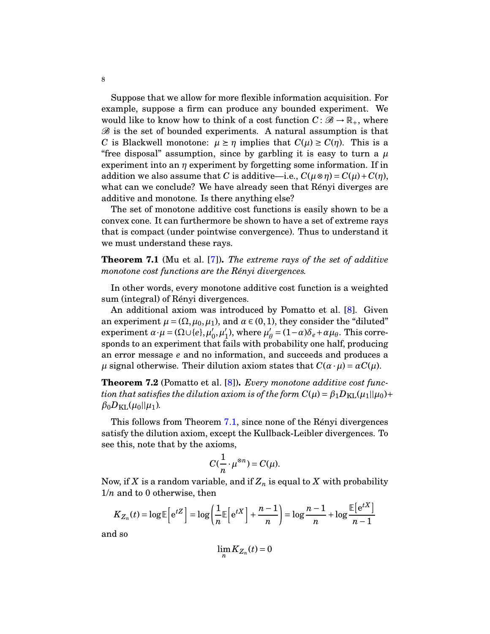Suppose that we allow for more flexible information acquisition. For example, suppose a firm can produce any bounded experiment. We would like to know how to think of a cost function  $C: \mathcal{B} \to \mathbb{R}_+$ , where  $B$  is the set of bounded experiments. A natural assumption is that *C* is Blackwell monotone:  $\mu \geq \eta$  implies that  $C(\mu) \geq C(\eta)$ . This is a "free disposal" assumption, since by garbling it is easy to turn a  $\mu$ experiment into an *η* experiment by forgetting some information. If in addition we also assume that *C* is additive—i.e.,  $C(\mu \otimes \eta) = C(\mu) + C(\eta)$ , what can we conclude? We have already seen that Rényi diverges are additive and monotone. Is there anything else?

The set of monotone additive cost functions is easily shown to be a convex cone. It can furthermore be shown to have a set of extreme rays that is compact (under pointwise convergence). Thus to understand it we must understand these rays.

<span id="page-7-0"></span>**Theorem 7.1** (Mu et al. [\[7\]](#page-10-8))**.** *The extreme rays of the set of additive monotone cost functions are the Rényi divergences.*

In other words, every monotone additive cost function is a weighted sum (integral) of Rényi divergences.

An additional axiom was introduced by Pomatto et al. [\[8\]](#page-10-12). Given an experiment  $\mu = (\Omega, \mu_0, \mu_1)$ , and  $\alpha \in (0, 1)$ , they consider the "diluted" experiment  $\alpha \cdot \mu = (\Omega \cup \{e\}, \mu'_0)$  $_{0}^{\prime},\mu_{1}^{\prime}$  $'_{1}$ ), where  $\mu'_{\ell}$  $\beta_{\theta} = (1-\alpha)\delta_e + \alpha\mu_{\theta}$ . This corresponds to an experiment that fails with probability one half, producing an error message *e* and no information, and succeeds and produces a *μ* signal otherwise. Their dilution axiom states that  $C(\alpha \cdot \mu) = \alpha C(\mu)$ .

**Theorem 7.2** (Pomatto et al. [\[8\]](#page-10-12))**.** *Every monotone additive cost function that satisfies the dilution axiom is of the form*  $C(\mu) = \beta_1 D_{\text{KL}}(\mu_1 || \mu_0) +$  $β_0D_{\text{KL}}(μ_0||μ_1)$ .

This follows from Theorem [7.1,](#page-7-0) since none of the Rényi divergences satisfy the dilution axiom, except the Kullback-Leibler divergences. To see this, note that by the axioms,

$$
C(\frac{1}{n}\cdot \mu^{\otimes n})=C(\mu).
$$

Now, if *X* is a random variable, and if  $Z_n$  is equal to *X* with probability 1/*n* and to 0 otherwise, then

$$
K_{Z_n}(t) = \log \mathbb{E}\left[e^{tZ}\right] = \log \left(\frac{1}{n}\mathbb{E}\left[e^{tX}\right] + \frac{n-1}{n}\right) = \log \frac{n-1}{n} + \log \frac{\mathbb{E}\left[e^{tX}\right]}{n-1}
$$

and so

$$
\lim_n K_{Z_n}(t) = 0
$$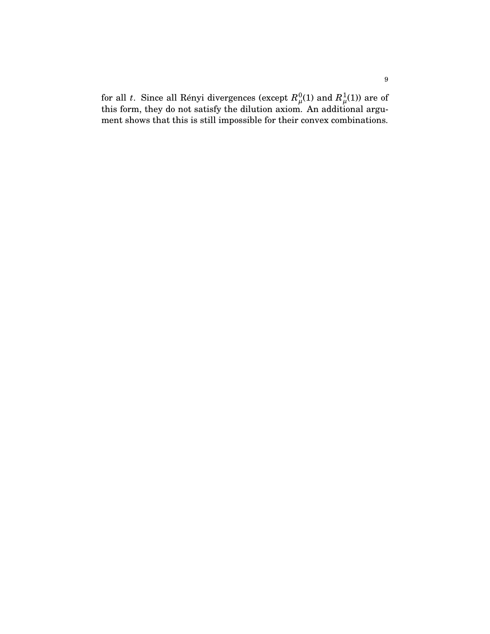for all  $t$ . Since all Rényi divergences (except  $R_\mu^0\!\left(1\right)$  and  $R_\mu^1\!\left(1\right)$ ) are of this form, they do not satisfy the dilution axiom. An additional argument shows that this is still impossible for their convex combinations.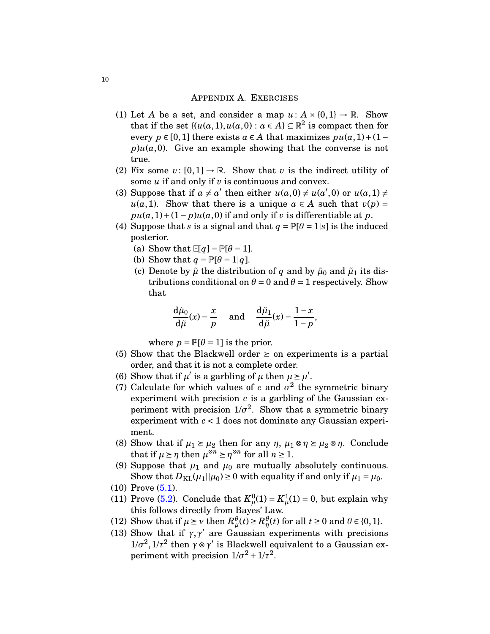## APPENDIX A. EXERCISES

- <span id="page-9-1"></span><span id="page-9-0"></span>(1) Let *A* be a set, and consider a map  $u: A \times \{0, 1\} \rightarrow \mathbb{R}$ . Show that if the set  $\{(u(a,1), u(a,0) : a \in A\} \subseteq \mathbb{R}^2$  is compact then for every  $p \in [0,1]$  there exists  $a \in A$  that maximizes  $pu(a,1)+(1$  $p)u(a,0)$ . Give an example showing that the converse is not true.
- <span id="page-9-3"></span><span id="page-9-2"></span>(2) Fix some  $v: [0,1] \to \mathbb{R}$ . Show that  $v$  is the indirect utility of some *u* if and only if *v* is continuous and convex.
- (3) Suppose that if  $a \neq a'$  then either  $u(a,0) \neq u(a',0)$  or  $u(a,1) \neq a'$  $u(a,1)$ . Show that there is a unique  $a \in A$  such that  $v(p) =$  $pu(a,1)+(1-p)u(a,0)$  if and only if *v* is differentiable at *p*.
- <span id="page-9-4"></span>(4) Suppose that *s* is a signal and that  $q = P[\theta = 1|s]$  is the induced posterior.
	- (a) Show that  $\mathbb{E}[q] = \mathbb{P}[\theta = 1].$
	- (b) Show that  $q = P[\theta = 1|q]$ .
	- (c) Denote by  $\tilde{\mu}$  the distribution of *q* and by  $\tilde{\mu}_0$  and  $\tilde{\mu}_1$  its distributions conditional on  $\theta = 0$  and  $\theta = 1$  respectively. Show that

$$
\frac{d\tilde{\mu}_0}{d\tilde{\mu}}(x) = \frac{x}{p} \quad \text{and} \quad \frac{d\tilde{\mu}_1}{d\tilde{\mu}}(x) = \frac{1-x}{1-p},
$$

where  $p = P[\theta = 1]$  is the prior.

- <span id="page-9-6"></span><span id="page-9-5"></span>(5) Show that the Blackwell order  $\geq$  on experiments is a partial order, and that it is not a complete order.
- <span id="page-9-7"></span>(6) Show that if  $\mu'$  is a garbling of  $\mu$  then  $\mu \ge \mu'$ .
- (7) Calculate for which values of  $c$  and  $\sigma^2$  the symmetric binary experiment with precision *c* is a garbling of the Gaussian experiment with precision  $1/\sigma^2$ . Show that a symmetric binary experiment with *c* < 1 does not dominate any Gaussian experiment.
- <span id="page-9-8"></span>(8) Show that if  $\mu_1 \ge \mu_2$  then for any  $\eta$ ,  $\mu_1 \otimes \eta \ge \mu_2 \otimes \eta$ . Conclude that if  $\mu \ge \eta$  then  $\mu^{\otimes n} \ge \eta^{\otimes n}$  for all  $n \ge 1$ .
- <span id="page-9-9"></span>(9) Suppose that  $\mu_1$  and  $\mu_0$  are mutually absolutely continuous. Show that  $D_{KL}(\mu_1||\mu_0) \ge 0$  with equality if and only if  $\mu_1 = \mu_0$ .
- <span id="page-9-11"></span><span id="page-9-10"></span> $(10)$  Prove  $(5.1)$ .
- (11) Prove [\(5.2\)](#page-5-1). Conclude that  $K^0_\mu(1) = K^1_\mu(1) = 0$ , but explain why this follows directly from Bayes' Law.
- <span id="page-9-13"></span><span id="page-9-12"></span>(12) Show that if  $\mu \geq \nu$  then  $R^{\theta}_{\mu}(t) \geq R^{\theta}_{\eta}(t)$  for all  $t \geq 0$  and  $\theta \in \{0, 1\}$ .
- (13) Show that if  $\gamma$ ,  $\gamma'$  are Gaussian experiments with precisions  $1/σ<sup>2</sup>, 1/τ<sup>2</sup>$  then *γ*⊗*γ*<sup>*'*</sup> is Blackwell equivalent to a Gaussian experiment with precision  $1/\sigma^2 + 1/\tau^2$ .